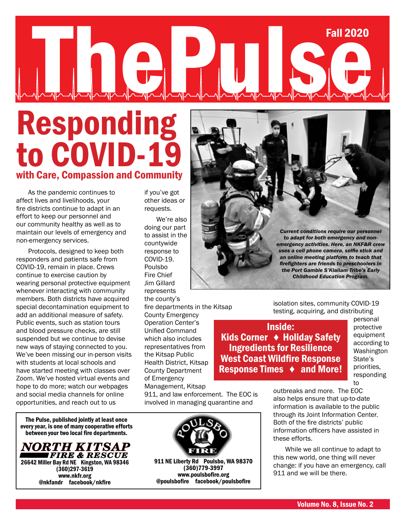# The Pulse Pulse Paul 2020

# Responding to COVID-19 with Care, Compassion and Community

As the pandemic continues to affect lives and livelihoods, your fire districts continue to adapt in an effort to keep our personnel and our community healthy as well as to maintain our levels of emergency and non-emergency services.

Protocols, designed to keep both responders and patients safe from COVID-19, remain in place. Crews continue to exercise caution by wearing personal protective equipment whenever interacting with community members. Both districts have acquired special decontamination equipment to add an additional measure of safety. Public events, such as station tours and blood pressure checks, are still suspended but we continue to devise new ways of staying connected to you. We've been missing our in-person visits with students at local schools and have started meeting with classes over Zoom. We've hosted virtual events and hope to do more; watch our webpages and social media channels for online opportunities, and reach out to us

The Pulse, published jointly at least once every year, is one of many cooperative efforts between your two local fire departments.



if you've got other ideas or requests.

We're also doing our part to assist in the countywide response to COVID-19. Poulsbo Fire Chief Jim Gillard represents the county's

fire departments in the Kitsap

County Emergency Operation Center's Unified Command which also includes representatives from the Kitsap Public Health District, Kitsap County Department of Emergency Management, Kitsap

911, and law enforcement. The EOC is involved in managing quarantine and



*Current conditions require our personnel to adapt for both emergency and nonemergency activities. Here, an NKF&R crew uses a cell phone camera, selfie stick and an online meeting platform to teach that firefighters are friends to preschoolers in the Port Gamble S'Klallam Tribe's Early Childhood Education Program.* 

isolation sites, community COVID-19 testing, acquiring, and distributing

Inside: Kids Corner ♦ Holiday Safety Ingredients for Resilience West Coast Wildfire Response Response Times ♦ and More! personal protective equipment according to Washington State's priorities, responding to

outbreaks and more. The EOC also helps ensure that up-to-date information is available to the public through its Joint Information Center. Both of the fire districts' public information officers have assisted in these efforts.

While we all continue to adapt to this new world, one thing will never change: if you have an emergency, call 911 and we will be there.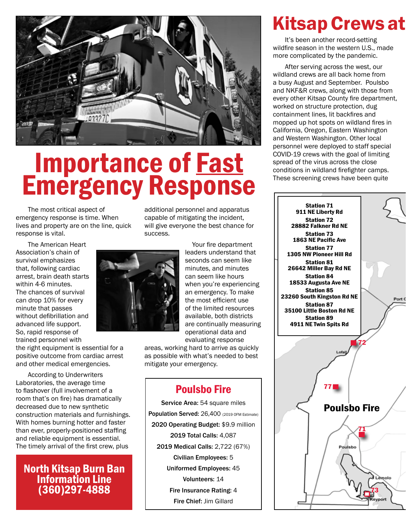

# Importance of Fast Emergency Response

The most critical aspect of emergency response is time. When lives and property are on the line, quick response is vital.

The American Heart Association's chain of survival emphasizes that, following cardiac arrest, brain death starts within 4-6 minutes. The chances of survival can drop 10% for every minute that passes without defibrillation and advanced life support. So, rapid response of trained personnel with

the right equipment is essential for a positive outcome from cardiac arrest and other medical emergencies.

According to Underwriters Laboratories, the average time to flashover (full involvement of a room that's on fire) has dramatically decreased due to new synthetic construction materials and furnishings. With homes burning hotter and faster than ever, properly-positioned staffing and reliable equipment is essential. The timely arrival of the first crew, plus

## North Kitsap Burn Ban Information Line (360)297-4888

additional personnel and apparatus capable of mitigating the incident, will give everyone the best chance for success.



areas, working hard to arrive as quickly as possible with what's needed to best mitigate your emergency.

## Poulsbo Fire

Service Area: 54 square miles Population Served: 26,400 (2019 OFM Estimate) 2020 Operating Budget: \$9.9 million 2019 Total Calls: 4,087 2019 Medical Calls: 2,722 (67%) Civilian Employees: 5 Uniformed Employees: 45 Volunteers: 14 Fire Insurance Rating: 4 Fire Chief: Jim Gillard

## Kitsap Crews at

It's been another record-setting wildfire season in the western U.S., made more complicated by the pandemic.

After serving across the west, our wildland crews are all back home from a busy August and September. Poulsbo and NKF&R crews, along with those from every other Kitsap County fire department, worked on structure protection, dug containment lines, lit backfires and mopped up hot spots on wildland fires in California, Oregon, Eastern Washington and Western Washington. Other local personnel were deployed to staff special COVID-19 crews with the goal of limiting spread of the virus across the close conditions in wildland firefighter camps. These screening crews have been quite

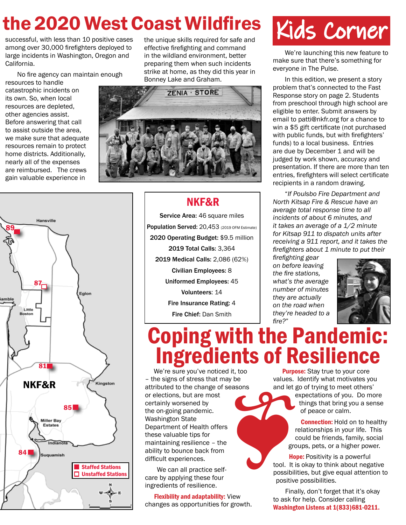## the 2020 West Coast Wildfires

successful, with less than 10 positive cases among over 30,000 firefighters deployed to large incidents in Washington, Oregon and California.

No fire agency can maintain enough

resources to handle catastrophic incidents on its own. So, when local resources are depleted, other agencies assist. Before answering that call to assist outside the area, we make sure that adequate resources remain to protect home districts. Additionally, nearly all of the expenses are reimbursed. The crews gain valuable experience in

the unique skills required for safe and effective firefighting and command in the wildland environment, better preparing them when such incidents strike at home, as they did this year in Bonney Lake and Graham.





## NKF&R

Service Area: 46 square miles Population Served: 20,453 (2019 OFM Estimate) 2020 Operating Budget: \$9.5 million 2019 Total Calls: 3,364 2019 Medical Calls: 2,086 (62%) Civilian Employees: 8 Uniformed Employees: 45 Volunteers: 14 Fire Insurance Rating: 4 Fire Chief: Dan Smith

# Kids Corner

We're launching this new feature to make sure that there's something for everyone in The Pulse.

In this edition, we present a story problem that's connected to the Fast Response story on page 2. Students from preschool through high school are eligible to enter. Submit answers by email to patti@nkfr.org for a chance to win a \$5 gift certificate (not purchased with public funds, but with firefighters' funds) to a local business. Entries are due by December 1 and will be judged by work shown, accuracy and presentation. If there are more than ten entries, firefighters will select certificate recipients in a random drawing.

"*If Poulsbo Fire Department and North Kitsap Fire & Rescue have an average total response time to all incidents of about 6 minutes, and it takes an average of a 1/2 minute for Kitsap 911 to dispatch units after receiving a 911 report, and it takes the firefighters about 1 minute to put their* 

*firefighting gear on before leaving the fire stations, what's the average number of minutes they are actually on the road when they're headed to a fire?*"



# Coping with the Pandemic: Ingredients of Resilience

We're sure you've noticed it, too – the signs of stress that may be attributed to the change of seasons or elections, but are most certainly worsened by the on-going pandemic. Washington State Department of Health offers these valuable tips for maintaining resilience – the ability to bounce back from difficult experiences. Frequency of the spot of the spot of the spot of the spot of the spot of the spot of the spot of the spot of the spot of the spot of the spot of the spot of the spot of the spot of the spot of the spot of the spot of the s

We can all practice selfcare by applying these four ingredients of resilience.

 Flexibility and adaptability: View changes as opportunities for growth.

**Purpose:** Stay true to your core values. Identify what motivates you and let go of trying to meet others'

expectations of you. Do more things that bring you a sense of peace or calm.

**Connection:** Hold on to healthy relationships in your life. This could be friends, family, social groups, pets, or a higher power.

**Hope:** Positivity is a powerful tool. It is okay to think about negative possibilities, but give equal attention to positive possibilities.

Finally, don't forget that it's okay to ask for help. Consider calling Washington Listens at 1(833)681-0211.